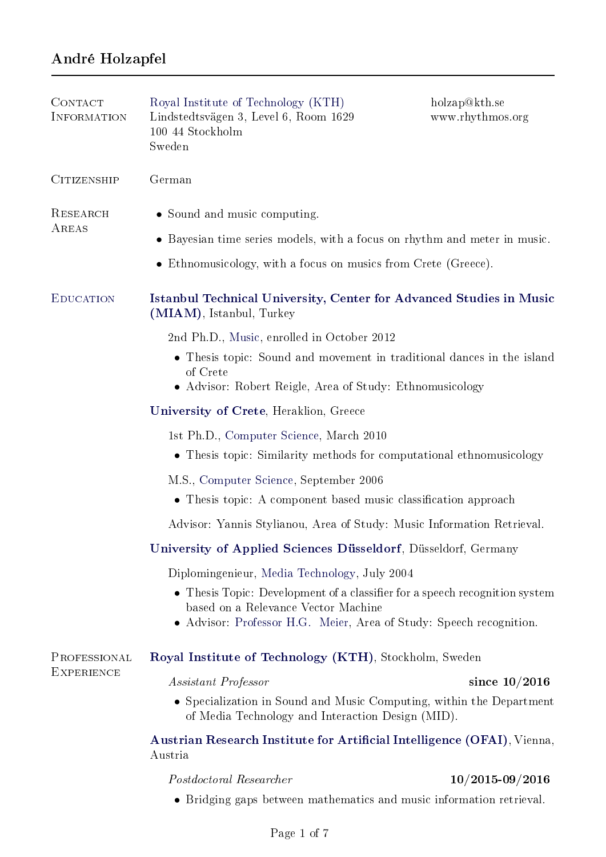# André Holzapfel

| CONTACT<br>INFORMATION            | Royal Institute of Technology (KTH)<br>Lindstedtsvägen 3, Level 6, Room 1629<br>100 44 Stockholm<br>Sweden                                                                                | holzap@kth.se<br>www.rhythmos.org |
|-----------------------------------|-------------------------------------------------------------------------------------------------------------------------------------------------------------------------------------------|-----------------------------------|
| <b>CITIZENSHIP</b>                | German                                                                                                                                                                                    |                                   |
| RESEARCH<br>AREAS                 | • Sound and music computing.                                                                                                                                                              |                                   |
|                                   | • Bayesian time series models, with a focus on rhythm and meter in music.                                                                                                                 |                                   |
|                                   | • Ethnomusicology, with a focus on musics from Crete (Greece).                                                                                                                            |                                   |
| <b>EDUCATION</b>                  | Istanbul Technical University, Center for Advanced Studies in Music<br>(MIAM), Istanbul, Turkey                                                                                           |                                   |
|                                   | 2nd Ph.D., Music, enrolled in October 2012                                                                                                                                                |                                   |
|                                   | • Thesis topic: Sound and movement in traditional dances in the island<br>of Crete<br>• Advisor: Robert Reigle, Area of Study: Ethnomusicology                                            |                                   |
|                                   | University of Crete, Heraklion, Greece                                                                                                                                                    |                                   |
|                                   | 1st Ph.D., Computer Science, March 2010<br>• Thesis topic: Similarity methods for computational ethnomusicology                                                                           |                                   |
|                                   | M.S., Computer Science, September 2006<br>• Thesis topic: A component based music classification approach                                                                                 |                                   |
|                                   | Advisor: Yannis Stylianou, Area of Study: Music Information Retrieval.                                                                                                                    |                                   |
|                                   | University of Applied Sciences Düsseldorf, Düsseldorf, Germany                                                                                                                            |                                   |
|                                   | Diplomingenieur, Media Technology, July 2004                                                                                                                                              |                                   |
|                                   | • Thesis Topic: Development of a classifier for a speech recognition system<br>based on a Relevance Vector Machine<br>• Advisor: Professor H.G. Meier, Area of Study: Speech recognition. |                                   |
| PROFESSIONAL<br><b>EXPERIENCE</b> | Royal Institute of Technology (KTH), Stockholm, Sweden                                                                                                                                    |                                   |
|                                   | Assistant Professor                                                                                                                                                                       | since $10/2016$                   |
|                                   | • Specialization in Sound and Music Computing, within the Department<br>of Media Technology and Interaction Design (MID).                                                                 |                                   |
|                                   | Austrian Research Institute for Artificial Intelligence (OFAI), Vienna,<br>Austria                                                                                                        |                                   |
|                                   | Postdoctoral Researcher                                                                                                                                                                   | $10/2015$ -09 $/2016$             |

• Bridging gaps between mathematics and music information retrieval.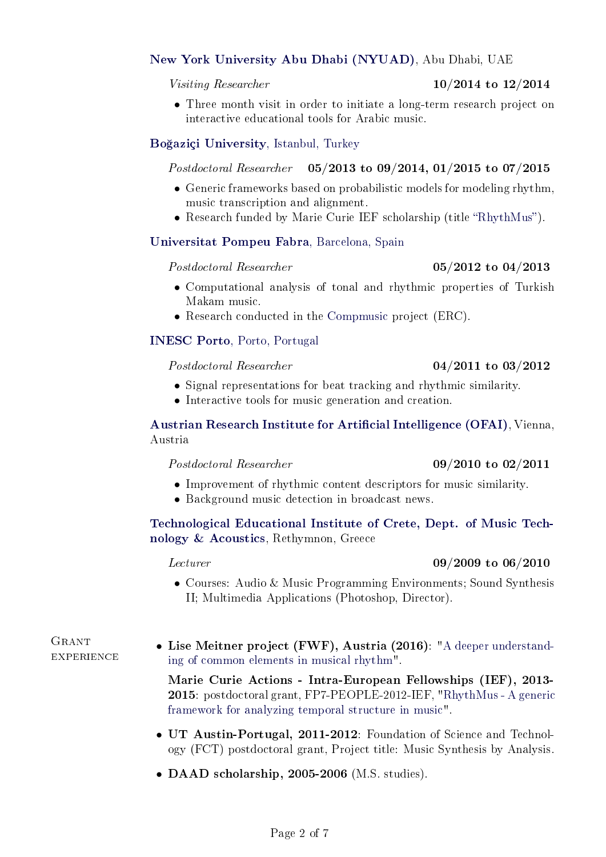# [New York University Abu Dhabi \(NYUAD\),](http://nyuad.nyu.edu/en/) Abu Dhabi, UAE

#### Visiting Researcher  $10/2014$  to  $12/2014$

• Three month visit in order to initiate a long-term research project on interactive educational tools for Arabic music.

# [Bo§aziçi University, Istanbul, Turkey](www.boun.edu.tr)

# Postdoctoral Researcher 05/2013 to 09/2014, 01/2015 to 07/2015

- Generic frameworks based on probabilistic models for modeling rhythm. music transcription and alignment.
- Research funded by Marie Curie IEF scholarship (title "RhythMus").

# [Universitat Pompeu Fabra, Barcelona, Spain](http://compmusic.upf.edu/)

# $Postdoctoral Researcher$  05/2012 to 04/2013

- Computational analysis of tonal and rhythmic properties of Turkish Makam music.
- Research conducted in the [Compmusic](http://compmusic.upf.edu/node/1) project (ERC).

# [INESC Porto, Porto, Portugal](http://www.inescporto.pt)

# $Postdoctoral Researcher$  04/2011 to 03/2012

- Signal representations for beat tracking and rhythmic similarity.
- Interactive tools for music generation and creation.

Austrian Research Institute for Artificial Intelligence (OFAI), Vienna, Austria

# $Postdoctoral Researcher$  09/2010 to 02/2011

- Improvement of rhythmic content descriptors for music similarity.
- Background music detection in broadcast news.

# [Technological Educational Institute of Crete, Dept. of Music Tech](http://www.teicrete.gr/mta/en/)[nology & Acoustics,](http://www.teicrete.gr/mta/en/) Rethymnon, Greece

# $L_{\text{ecturer}}$  09/2009 to 06/2010

• Courses: Audio & Music Programming Environments; Sound Synthesis II; Multimedia Applications (Photoshop, Director).

GRANT experience

• Lise Meitner project (FWF), Austria (2016): ["A deeper understand](http://www.rhythmos.org/meitner.html)[ing of common elements in musical rhythm"](http://www.rhythmos.org/meitner.html).

Marie Curie Actions - Intra-European Fellowships (IEF), 2013- 2015: postdoctoral grant, FP7-PEOPLE-2012-IEF, ["RhythMus - A generic](http://www.rhythmos.org/rhythmus.html) [framework for analyzing temporal structure in music"](http://www.rhythmos.org/rhythmus.html).

- UT Austin-Portugal, 2011-2012: Foundation of Science and Technology (FCT) postdoctoral grant, Project title: Music Synthesis by Analysis.
- DAAD scholarship, 2005-2006 (M.S. studies).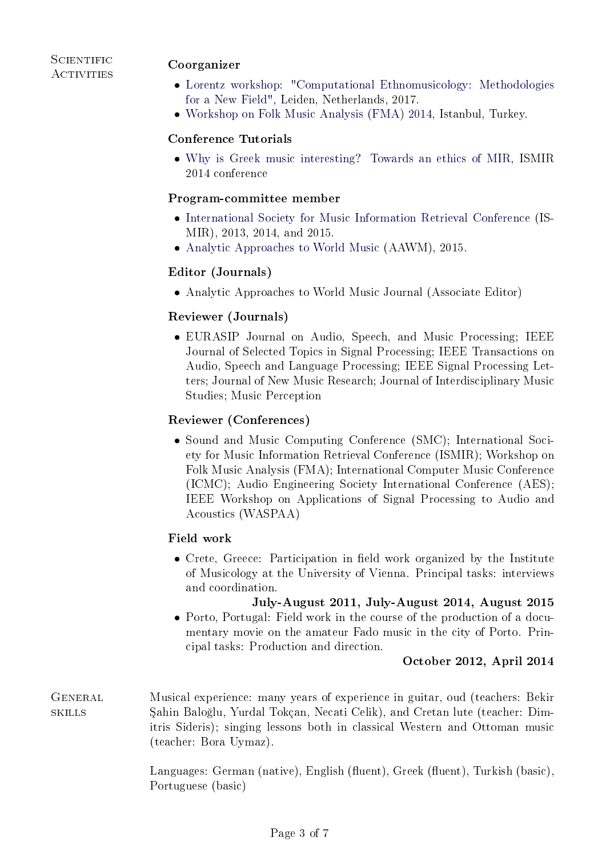### **SCIENTIFIC ACTIVITIES**

### Coorganizer

- [Lorentz workshop: "Computational Ethnomusicology: Methodologies](http://www.lorentzcenter.nl/lc/web/2017/866/info.php3?wsid=866&venue=Oort) [for a New Field",](http://www.lorentzcenter.nl/lc/web/2017/866/info.php3?wsid=866&venue=Oort) Leiden, Netherlands, 2017.
- [Workshop on Folk Music Analysis \(FMA\) 2014,](http://www.cmpe.boun.edu.tr/fma2014/) Istanbul, Turkey.

# Conference Tutorials

• [Why is Greek music interesting? Towards an ethics of MIR,](http://www.terasoft.com.tw/conf/ismir2014/tutorialschedule.html) ISMIR 2014 conference

#### Program-committee member

- [International Society for Music Information Retrieval Conference](http://www.ppgia.pucpr.br/ismir2013/) (IS-MIR), 2013, 2014, and 2015.
- [Analytic Approaches to World Music](http://aawmconference.com/programCommittee.html) (AAWM), 2015.

# Editor (Journals)

• Analytic Approaches to World Music Journal (Associate Editor)

# Reviewer (Journals)

• EURASIP Journal on Audio, Speech, and Music Processing; IEEE Journal of Selected Topics in Signal Processing; IEEE Transactions on Audio, Speech and Language Processing; IEEE Signal Processing Letters; Journal of New Music Research; Journal of Interdisciplinary Music Studies; Music Perception

### Reviewer (Conferences)

• Sound and Music Computing Conference (SMC); International Society for Music Information Retrieval Conference (ISMIR); Workshop on Folk Music Analysis (FMA); International Computer Music Conference (ICMC); Audio Engineering Society International Conference (AES); IEEE Workshop on Applications of Signal Processing to Audio and Acoustics (WASPAA)

### Field work

• Crete, Greece: Participation in field work organized by the Institute of Musicology at the University of Vienna. Principal tasks: interviews and coordination.

#### July-August 2011, July-August 2014, August 2015

• Porto, Portugal: Field work in the course of the production of a documentary movie on the amateur Fado music in the city of Porto. Principal tasks: Production and direction.

### October 2012, April 2014

GENERAL Musical experience: many years of experience in guitar, oud (teachers: Bekir skills ahin Balo§lu, Yurdal Tokçan, Necati Celik), and Cretan lute (teacher: Dimitris Sideris); singing lessons both in classical Western and Ottoman music (teacher: Bora Uymaz).

> Languages: German (native), English (fluent), Greek (fluent), Turkish (basic), Portuguese (basic)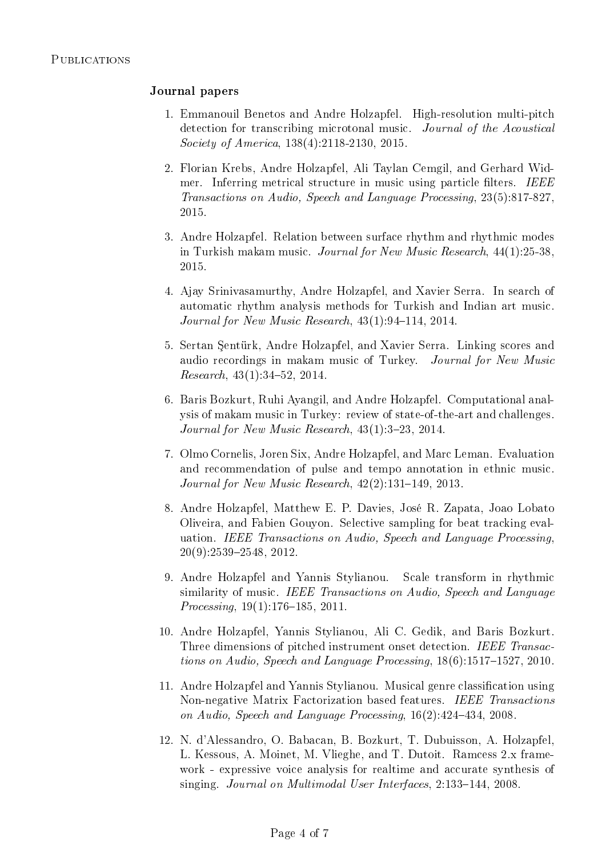### Journal papers

- 1. Emmanouil Benetos and Andre Holzapfel. High-resolution multi-pitch detection for transcribing microtonal music. Journal of the Acoustical Society of America, 138(4):2118-2130, 2015.
- 2. Florian Krebs, Andre Holzapfel, Ali Taylan Cemgil, and Gerhard Widmer. Inferring metrical structure in music using particle filters. IEEE Transactions on Audio, Speech and Language Processing, 23(5):817-827, 2015.
- 3. Andre Holzapfel. Relation between surface rhythm and rhythmic modes in Turkish makam music. Journal for New Music Research, 44(1):25-38, 2015.
- 4. Ajay Srinivasamurthy, Andre Holzapfel, and Xavier Serra. In search of automatic rhythm analysis methods for Turkish and Indian art music. Journal for New Music Research,  $43(1):94-114$ ,  $2014$ .
- 5. Sertan Sentürk, Andre Holzapfel, and Xavier Serra. Linking scores and audio recordings in makam music of Turkey. Journal for New Music  $Research, 43(1):34-52, 2014.$
- 6. Baris Bozkurt, Ruhi Ayangil, and Andre Holzapfel. Computational analysis of makam music in Turkey: review of state-of-the-art and challenges. Journal for New Music Research,  $43(1)$ : 3-23, 2014.
- 7. Olmo Cornelis, Joren Six, Andre Holzapfel, and Marc Leman. Evaluation and recommendation of pulse and tempo annotation in ethnic music. Journal for New Music Research,  $42(2):131-149$ ,  $2013$ .
- 8. Andre Holzapfel, Matthew E. P. Davies, José R. Zapata, Joao Lobato Oliveira, and Fabien Gouyon. Selective sampling for beat tracking evaluation. IEEE Transactions on Audio, Speech and Language Processing,  $20(9):2539-2548, 2012.$
- 9. Andre Holzapfel and Yannis Stylianou. Scale transform in rhythmic similarity of music. IEEE Transactions on Audio, Speech and Language  $Processing, 19(1):176-185, 2011.$
- 10. Andre Holzapfel, Yannis Stylianou, Ali C. Gedik, and Baris Bozkurt. Three dimensions of pitched instrument onset detection. IEEE Transactions on Audio, Speech and Language Processing,  $18(6)$ :1517-1527, 2010.
- 11. Andre Holzapfel and Yannis Stylianou. Musical genre classification using Non-negative Matrix Factorization based features. IEEE Transactions on Audio, Speech and Language Processing,  $16(2):424-434$ ,  $2008$ .
- 12. N. d'Alessandro, O. Babacan, B. Bozkurt, T. Dubuisson, A. Holzapfel, L. Kessous, A. Moinet, M. Vlieghe, and T. Dutoit. Ramcess 2.x framework - expressive voice analysis for realtime and accurate synthesis of singing. Journal on Multimodal User Interfaces, 2:133-144, 2008.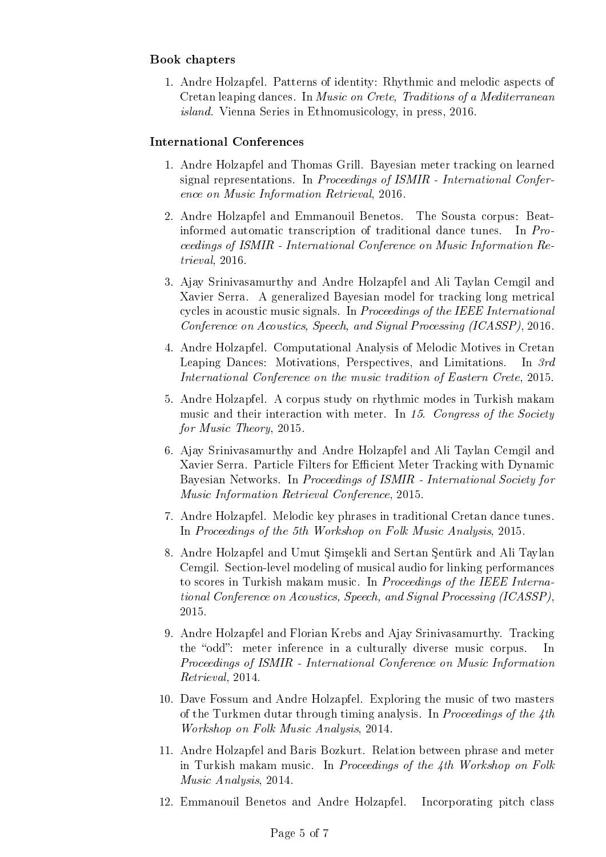# Book chapters

1. Andre Holzapfel. Patterns of identity: Rhythmic and melodic aspects of Cretan leaping dances. In Music on Crete, Traditions of a Mediterranean island. Vienna Series in Ethnomusicology, in press, 2016.

#### International Conferences

- 1. Andre Holzapfel and Thomas Grill. Bayesian meter tracking on learned signal representations. In Proceedings of ISMIR - International Conference on Music Information Retrieval, 2016.
- 2. Andre Holzapfel and Emmanouil Benetos. The Sousta corpus: Beatinformed automatic transcription of traditional dance tunes. In Proceedings of ISMIR - International Conference on Music Information Retrieval, 2016.
- 3. Ajay Srinivasamurthy and Andre Holzapfel and Ali Taylan Cemgil and Xavier Serra. A generalized Bayesian model for tracking long metrical cycles in acoustic music signals. In Proceedings of the IEEE International Conference on Acoustics, Speech, and Signal Processing (ICASSP), 2016.
- 4. Andre Holzapfel. Computational Analysis of Melodic Motives in Cretan Leaping Dances: Motivations, Perspectives, and Limitations. In 3rd International Conference on the music tradition of Eastern Crete, 2015.
- 5. Andre Holzapfel. A corpus study on rhythmic modes in Turkish makam music and their interaction with meter. In 15. Congress of the Society for Music Theory, 2015.
- 6. Ajay Srinivasamurthy and Andre Holzapfel and Ali Taylan Cemgil and Xavier Serra. Particle Filters for Efficient Meter Tracking with Dynamic Bayesian Networks. In Proceedings of ISMIR - International Society for Music Information Retrieval Conference, 2015.
- 7. Andre Holzapfel. Melodic key phrases in traditional Cretan dance tunes. In Proceedings of the 5th Workshop on Folk Music Analysis, 2015.
- 8. Andre Holzapfel and Umut Simsekli and Sertan Sentürk and Ali Taylan Cemgil. Section-level modeling of musical audio for linking performances to scores in Turkish makam music. In Proceedings of the IEEE International Conference on Acoustics, Speech, and Signal Processing (ICASSP), 2015.
- 9. Andre Holzapfel and Florian Krebs and Ajay Srinivasamurthy. Tracking the "odd": meter inference in a culturally diverse music corpus. In Proceedings of ISMIR - International Conference on Music Information Retrieval, 2014.
- 10. Dave Fossum and Andre Holzapfel. Exploring the music of two masters of the Turkmen dutar through timing analysis. In Proceedings of the 4th Workshop on Folk Music Analysis, 2014.
- 11. Andre Holzapfel and Baris Bozkurt. Relation between phrase and meter in Turkish makam music. In Proceedings of the 4th Workshop on Folk Music Analysis, 2014.
- 12. Emmanouil Benetos and Andre Holzapfel. Incorporating pitch class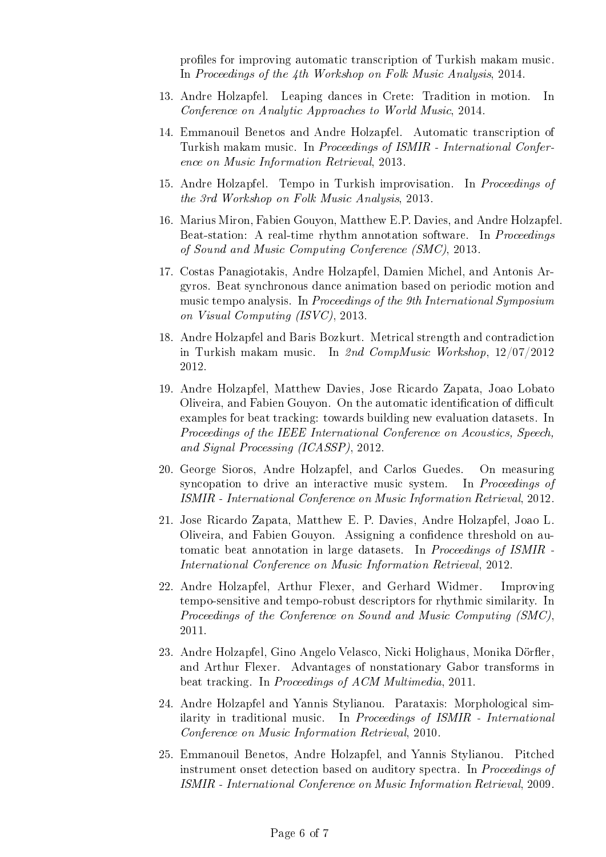profiles for improving automatic transcription of Turkish makam music. In Proceedings of the 4th Workshop on Folk Music Analysis, 2014.

- 13. Andre Holzapfel. Leaping dances in Crete: Tradition in motion. In Conference on Analytic Approaches to World Music, 2014.
- 14. Emmanouil Benetos and Andre Holzapfel. Automatic transcription of Turkish makam music. In Proceedings of ISMIR - International Conference on Music Information Retrieval, 2013.
- 15. Andre Holzapfel. Tempo in Turkish improvisation. In Proceedings of the 3rd Workshop on Folk Music Analysis, 2013.
- 16. Marius Miron, Fabien Gouyon, Matthew E.P. Davies, and Andre Holzapfel. Beat-station: A real-time rhythm annotation software. In Proceedings of Sound and Music Computing Conference (SMC), 2013.
- 17. Costas Panagiotakis, Andre Holzapfel, Damien Michel, and Antonis Argyros. Beat synchronous dance animation based on periodic motion and music tempo analysis. In Proceedings of the 9th International Symposium on Visual Computing (ISVC), 2013.
- 18. Andre Holzapfel and Baris Bozkurt. Metrical strength and contradiction in Turkish makam music. In 2nd CompMusic Workshop, 12/07/2012 2012.
- 19. Andre Holzapfel, Matthew Davies, Jose Ricardo Zapata, Joao Lobato Oliveira, and Fabien Gouyon. On the automatic identification of difficult examples for beat tracking: towards building new evaluation datasets. In Proceedings of the IEEE International Conference on Acoustics, Speech, and Signal Processing (ICASSP), 2012.
- 20. George Sioros, Andre Holzapfel, and Carlos Guedes. On measuring syncopation to drive an interactive music system. In Proceedings of ISMIR - International Conference on Music Information Retrieval, 2012.
- 21. Jose Ricardo Zapata, Matthew E. P. Davies, Andre Holzapfel, Joao L. Oliveira, and Fabien Gouyon. Assigning a confidence threshold on automatic beat annotation in large datasets. In Proceedings of ISMIR - International Conference on Music Information Retrieval, 2012.
- 22. Andre Holzapfel, Arthur Flexer, and Gerhard Widmer. Improving tempo-sensitive and tempo-robust descriptors for rhythmic similarity. In Proceedings of the Conference on Sound and Music Computing (SMC), 2011.
- 23. Andre Holzapfel, Gino Angelo Velasco, Nicki Holighaus, Monika Dörfler, and Arthur Flexer. Advantages of nonstationary Gabor transforms in beat tracking. In Proceedings of ACM Multimedia, 2011.
- 24. Andre Holzapfel and Yannis Stylianou. Parataxis: Morphological similarity in traditional music. In Proceedings of ISMIR - International Conference on Music Information Retrieval, 2010.
- 25. Emmanouil Benetos, Andre Holzapfel, and Yannis Stylianou. Pitched instrument onset detection based on auditory spectra. In Proceedings of ISMIR - International Conference on Music Information Retrieval, 2009.